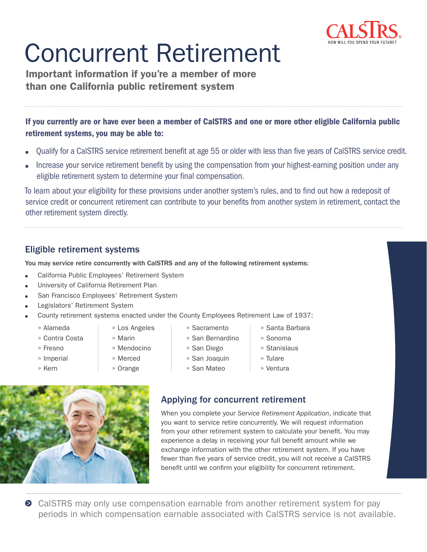

# Concurrent Retirement

Important information if you're a member of more than one California public retirement system

If you currently are or have ever been a member of CalSTRS and one or more other eligible California public retirement systems, you may be able to:

- Qualify for a CalSTRS service retirement benefit at age 55 or older with less than five years of CalSTRS service credit.
- Increase your service retirement benefit by using the compensation from your highest-earning position under any eligible retirement system to determine your final compensation.

To learn about your eligibility for these provisions under another system's rules, and to find out how a redeposit of service credit or concurrent retirement can contribute to your benefits from another system in retirement, contact the other retirement system directly.

#### Eligible retirement systems

You may service retire concurrently with CalSTRS and any of the following retirement systems:

- California Public Employees' Retirement System
- University of California Retirement Plan
- San Francisco Employees' Retirement System
- Legislators' Retirement System
- County retirement systems enacted under the County Employees Retirement Law of 1937:
	- » Alameda

» Fresno » Imperial » Kern

» Contra Costa

- » Los Angeles » Marin
- - » Mendocino
- 
- » Merced
	- » Orange
- » Sacramento » San Bernardino
- 
- 
- » San Mateo
- 

### Applying for concurrent retirement

When you complete your *Service Retirement Application*, indicate that you want to service retire concurrently. We will request information from your other retirement system to calculate your benefit. You may experience a delay in receiving your full benefit amount while we exchange information with the other retirement system. If you have fewer than five years of service credit, you will not receive a CalSTRS benefit until we confirm your eligibility for concurrent retirement.

» Santa Barbara » Sonoma » Stanislaus » Tulare » Ventura

**●** CaISTRS may only use compensation earnable from another retirement system for pay periods in which compensation earnable associated with CalSTRS service is not available.

» San Diego » San Joaquin